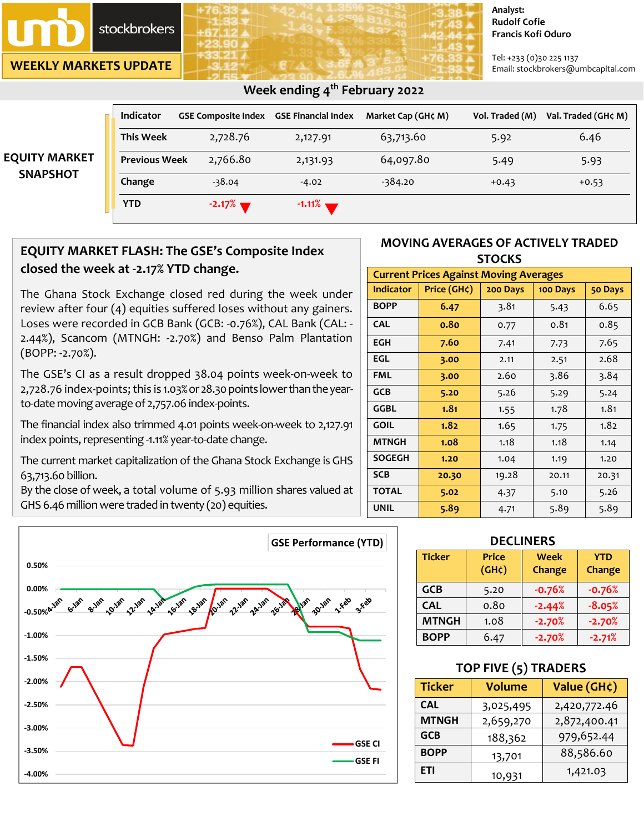

**WEEKLY MARKETS UPDATE**

#### **Analyst: Rudolf Cofie Francis Kofi Oduro**

Tel: +233 (0)30 225 1137 Email: stockbrokers@umbcapital.com

|                                         | Week ending $4th$ February 2022 |                                                |           |                    |                 |                     |
|-----------------------------------------|---------------------------------|------------------------------------------------|-----------|--------------------|-----------------|---------------------|
|                                         | <b>Indicator</b>                | <b>GSE Composite Index GSE Financial Index</b> |           | Market Cap (GH¢ M) | Vol. Traded (M) | Val. Traded (GH¢ M) |
| <b>EQUITY MARKET</b><br><b>SNAPSHOT</b> | <b>This Week</b>                | 2,728.76                                       | 2,127.91  | 63,713.60          | 5.92            | 6.46                |
|                                         | <b>Previous Week</b>            | 2,766.80                                       | 2,131.93  | 64,097.80          | 5.49            | 5.93                |
|                                         | Change                          | $-38.04$                                       | $-4.02$   | $-384.20$          | $+0.43$         | $+0.53$             |
|                                         | <b>YTD</b>                      | $-2.17%$                                       | $-1.11\%$ |                    |                 |                     |

## **EQUITY MARKET FLASH: The GSE's Composite Index closed the week at -2.17% YTD change.**

The Ghana Stock Exchange closed red during the week under review after four (4) equities suffered loses without any gainers. Loses were recorded in GCB Bank (GCB: -0.76%), CAL Bank (CAL: - 2.44%), Scancom (MTNGH: -2.70%) and Benso Palm Plantation (BOPP: -2.70%).

The GSE's CI as a result dropped 38.04 points week-on-week to 2,728.76 index-points; this is 1.03% or28.30points lower than theyearto-date moving average of 2,757.06 index-points.

The financial index also trimmed 4.01 points week-on-week to 2,127.91 index points, representing -1.11% year-to-date change.

The current market capitalization of the Ghana Stock Exchange is GHS 63,713.60 billion.

By the close of week, a total volume of 5.93 million shares valued at GHS 6.46 million were traded in twenty (20) equities.



## **MOVING AVERAGES OF ACTIVELY TRADED STOCKS**

| <b>Current Prices Against Moving Averages</b> |             |          |          |         |  |
|-----------------------------------------------|-------------|----------|----------|---------|--|
| <b>Indicator</b>                              | Price (GH¢) | 200 Days | 100 Days | 50 Days |  |
| <b>BOPP</b>                                   | 6.47        | 3.81     | 5.43     | 6.65    |  |
| <b>CAL</b>                                    | 0.80        | 0.77     | 0.81     | 0.85    |  |
| <b>EGH</b>                                    | 7.60        | 7.41     | 7.73     | 7.65    |  |
| EGL                                           | 3.00        | 2.11     | 2.51     | 2.68    |  |
| <b>FML</b>                                    | 3.00        | 2.60     | 3.86     | 3.84    |  |
| <b>GCB</b>                                    | 5.20        | 5.26     | 5.29     | 5.24    |  |
| <b>GGBL</b>                                   | 1.81        | 1.55     | 1.78     | 1.81    |  |
| <b>GOIL</b>                                   | 1.82        | 1.65     | 1.75     | 1.82    |  |
| <b>MTNGH</b>                                  | 1.08        | 1.18     | 1.18     | 1.14    |  |
| <b>SOGEGH</b>                                 | 1.20        | 1.04     | 1.19     | 1.20    |  |
| <b>SCB</b>                                    | 20.30       | 19.28    | 20.11    | 20.31   |  |
| <b>TOTAL</b>                                  | 5.02        | 4.37     | 5.10     | 5.26    |  |
| <b>UNIL</b>                                   | 5.89        | 4.71     | 5.89     | 5.89    |  |

### **DECLINERS**

| <b>Ticker</b> | <b>Price</b><br>(GH <sub>c</sub> ) | <b>Week</b><br>Change | <b>YTD</b><br>Change |
|---------------|------------------------------------|-----------------------|----------------------|
| <b>GCB</b>    | 5.20                               | $-0.76%$              | $-0.76%$             |
| <b>CAL</b>    | 0.80                               | $-2.44%$              | $-8.05%$             |
| <b>MTNGH</b>  | 1.08                               | $-2.70%$              | $-2.70%$             |
| <b>BOPP</b>   | 6.47                               | $-2.70%$              | $-2.71%$             |

## **TOP FIVE (5) TRADERS**

| <b>Ticker</b> | <b>Volume</b> | Value (GH¢)  |  |
|---------------|---------------|--------------|--|
| <b>CAL</b>    | 3,025,495     | 2,420,772.46 |  |
| <b>MTNGH</b>  | 2,659,270     | 2,872,400.41 |  |
| <b>GCB</b>    | 188,362       | 979,652.44   |  |
| <b>BOPP</b>   | 13,701        | 88,586.60    |  |
| ETI           | 10,931        | 1,421.03     |  |